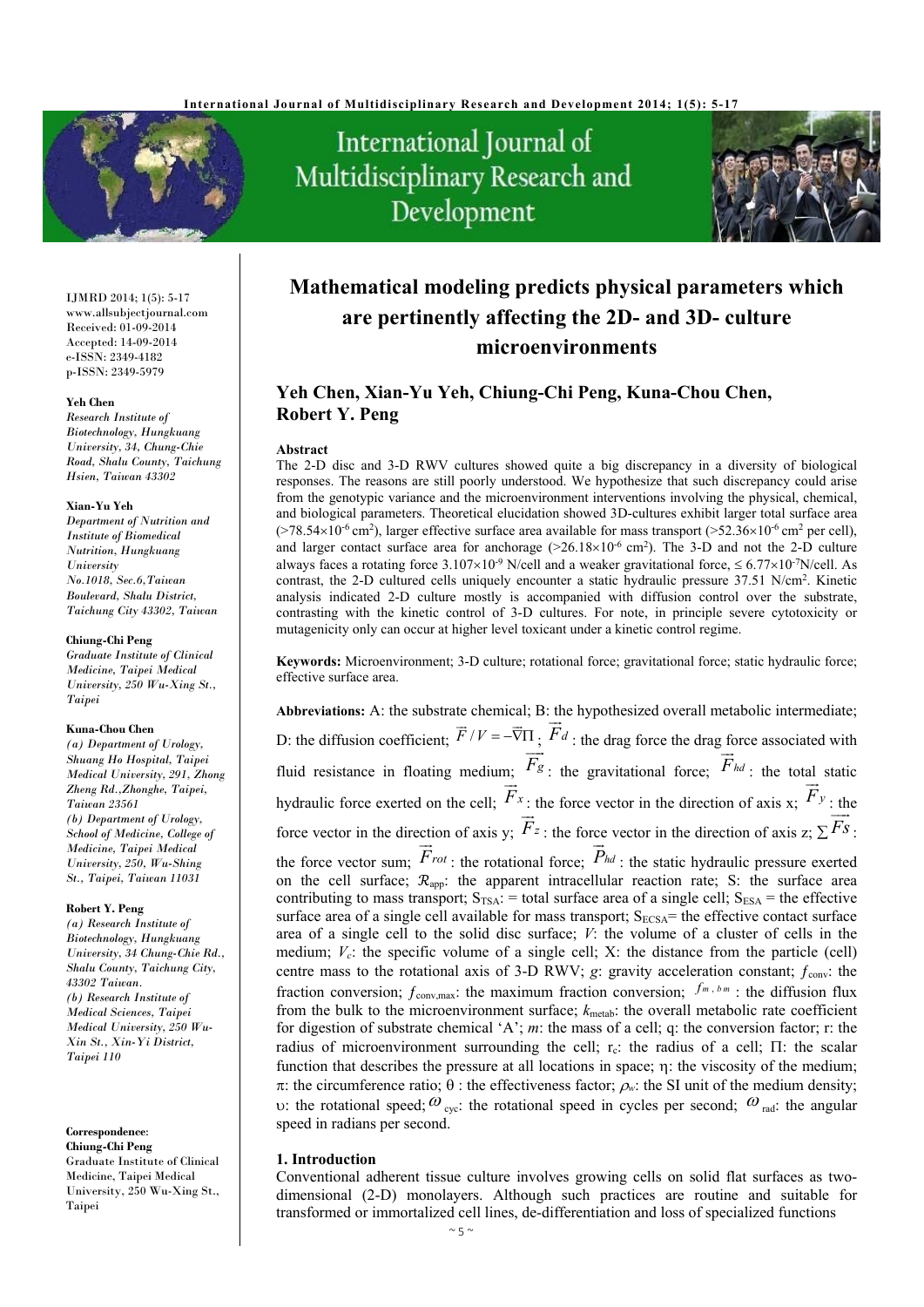

# International Journal of Multidisciplinary Research and Development



IJMRD 2014; 1(5): 5-17 www.allsubjectjournal.com Received: 01-09-2014 Accepted: 14-09-2014 e-ISSN: 2349-4182 p-ISSN: 2349-5979

#### **Yeh Chen**

*Research Institute of Biotechnology, Hungkuang University, 34, Chung-Chie Road, Shalu County, Taichung Hsien, Taiwan 43302* 

#### **Xian-Yu Yeh**

*Department of Nutrition and Institute of Biomedical Nutrition, Hungkuang University No.1018, Sec.6,Taiwan Boulevard, Shalu District, Taichung City 43302, Taiwan* 

#### **Chiung-Chi Peng**

*Graduate Institute of Clinical Medicine, Taipei Medical University, 250 Wu-Xing St., Taipei* 

#### **Kuna-Chou Chen**

*(a) Department of Urology, Shuang Ho Hospital, Taipei Medical University, 291, Zhong Zheng Rd.,Zhonghe, Taipei, Taiwan 23561 (b) Department of Urology, School of Medicine, College of Medicine, Taipei Medical University, 250, Wu-Shing St., Taipei, Taiwan 11031* 

#### **Robert Y. Peng**

*(a) Research Institute of Biotechnology, Hungkuang University, 34 Chung-Chie Rd., Shalu County, Taichung City, 43302 Taiwan. (b) Research Institute of Medical Sciences, Taipei Medical University, 250 Wu-Xin St., Xin-Yi District, Taipei 110* 

**Correspondence**: **Chiung-Chi Peng** Graduate Institute of Clinical Medicine, Taipei Medical University, 250 Wu-Xing St., Taipei

# **Mathematical modeling predicts physical parameters which are pertinently affecting the 2D- and 3D- culture microenvironments**

# **Yeh Chen, Xian-Yu Yeh, Chiung-Chi Peng, Kuna-Chou Chen, Robert Y. Peng**

#### **Abstract**

The 2-D disc and 3-D RWV cultures showed quite a big discrepancy in a diversity of biological responses. The reasons are still poorly understood. We hypothesize that such discrepancy could arise from the genotypic variance and the microenvironment interventions involving the physical, chemical, and biological parameters. Theoretical elucidation showed 3D-cultures exhibit larger total surface area  $(>78.54\times10^{-6}$  cm<sup>2</sup>), larger effective surface area available for mass transport ( $>52.36\times10^{-6}$  cm<sup>2</sup> per cell), and larger contact surface area for anchorage  $(>26.18\times10^{-6} \text{ cm}^2)$ . The 3-D and not the 2-D culture always faces a rotating force 3.107×10<sup>-9</sup> N/cell and a weaker gravitational force,  $\leq 6.77 \times 10^{-7}$ N/cell. As contrast, the 2-D cultured cells uniquely encounter a static hydraulic pressure  $37.51$  N/cm<sup>2</sup>. Kinetic analysis indicated 2-D culture mostly is accompanied with diffusion control over the substrate, contrasting with the kinetic control of 3-D cultures. For note, in principle severe cytotoxicity or mutagenicity only can occur at higher level toxicant under a kinetic control regime.

**Keywords:** Microenvironment; 3-D culture; rotational force; gravitational force; static hydraulic force; effective surface area.

**Abbreviations:** A: the substrate chemical; B: the hypothesized overall metabolic intermediate; D: the diffusion coefficient;  $\vec{F}/V = -\vec{\nabla}\Pi$ ;  $\vec{F}d$ . u<br>금 : the drag force the drag force associated with fluid resistance in floating medium; *Fg*  $\frac{1}{n}$ : the gravitational force; *Fhd*  $\frac{1}{1}$ : the total static hydraulic force exerted on the cell; *Fx*  $\overrightarrow{F}_x$ : the force vector in the direction of axis x;  $\overrightarrow{F}_y$  $\frac{a_1}{b_1}$ : the force vector in the direction of axis y;  $F_z$ : the force vector in the direction of axis  $z$ ;  $\sum \overline{F}_s$ <br> $\overline{F}_s$ . ...<br>— : the force vector sum; *Frot*  $rac{1}{n}$ : the rotational force; *Phd*  $\frac{1}{n}$ : the static hydraulic pressure exerted on the cell surface;  $\mathcal{R}_{app}$ : the apparent intracellular reaction rate; S: the surface area contributing to mass transport;  $S_{TSA}$ : = total surface area of a single cell;  $S_{ESA}$  = the effective surface area of a single cell available for mass transport;  $S_{ECSA}$  = the effective contact surface area of a single cell to the solid disc surface; *V*: the volume of a cluster of cells in the medium;  $V_c$ : the specific volume of a single cell; X: the distance from the particle (cell) centre mass to the rotational axis of 3-D RWV;  $g$ : gravity acceleration constant;  $f_{\text{conv}}$ : the fraction conversion;  $f_{\text{conv,max}}$ : the maximum fraction conversion;  $f^{m,bm}$  : the diffusion flux from the bulk to the microenvironment surface;  $k_{\text{meta}}$ : the overall metabolic rate coefficient for digestion of substrate chemical 'A'; *m*: the mass of a cell; q: the conversion factor; r: the radius of microenvironment surrounding the cell;  $r_c$ : the radius of a cell;  $\Pi$ : the scalar function that describes the pressure at all locations in space;  $\eta$ : the viscosity of the medium;  $\pi$ : the circumference ratio;  $\theta$ : the effectiveness factor;  $\rho_w$ : the SI unit of the medium density; v: the rotational speed;  $\omega_{\text{cyc}}$ : the rotational speed in cycles per second;  $\omega_{\text{rad}}$ : the angular speed in radians per second.

#### **1. Introduction**

Conventional adherent tissue culture involves growing cells on solid flat surfaces as twodimensional (2-D) monolayers. Although such practices are routine and suitable for transformed or immortalized cell lines, de-differentiation and loss of specialized functions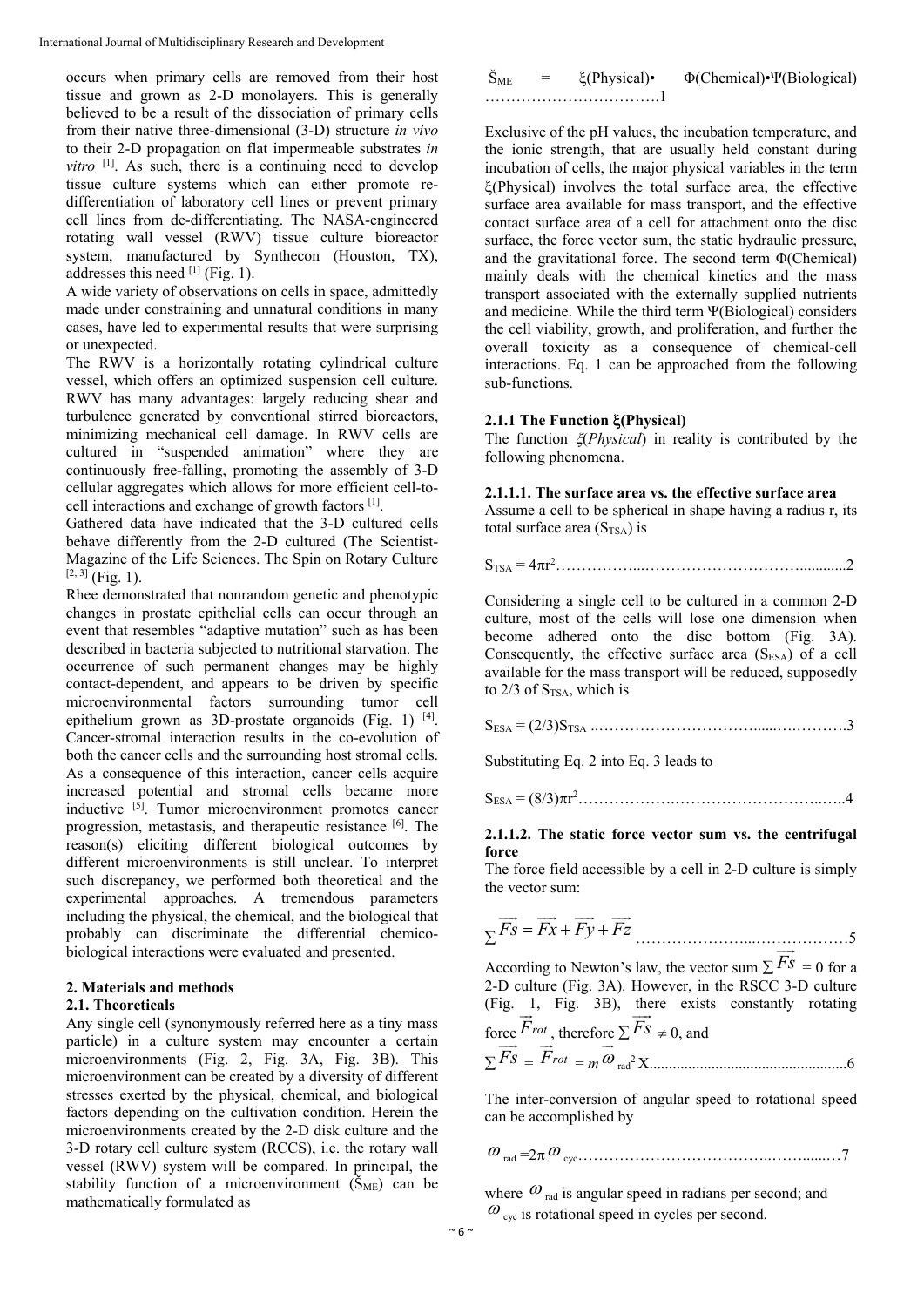occurs when primary cells are removed from their host tissue and grown as 2-D monolayers. This is generally believed to be a result of the dissociation of primary cells from their native three-dimensional (3-D) structure *in vivo* to their 2-D propagation on flat impermeable substrates *in vitro*  $[1]$ . As such, there is a continuing need to develop tissue culture systems which can either promote redifferentiation of laboratory cell lines or prevent primary cell lines from de-differentiating. The NASA-engineered rotating wall vessel (RWV) tissue culture bioreactor system, manufactured by Synthecon (Houston, TX), addresses this need  $[1]$  (Fig. 1).

A wide variety of observations on cells in space, admittedly made under constraining and unnatural conditions in many cases, have led to experimental results that were surprising or unexpected.

The RWV is a horizontally rotating cylindrical culture vessel, which offers an optimized suspension cell culture. RWV has many advantages: largely reducing shear and turbulence generated by conventional stirred bioreactors, minimizing mechanical cell damage. In RWV cells are cultured in "suspended animation" where they are continuously free-falling, promoting the assembly of 3-D cellular aggregates which allows for more efficient cell-tocell interactions and exchange of growth factors [1].

Gathered data have indicated that the 3-D cultured cells behave differently from the 2-D cultured (The Scientist-Magazine of the Life Sciences. The Spin on Rotary Culture  $[2, 3]$  (Fig. 1).

Rhee demonstrated that nonrandom genetic and phenotypic changes in prostate epithelial cells can occur through an event that resembles "adaptive mutation" such as has been described in bacteria subjected to nutritional starvation. The occurrence of such permanent changes may be highly contact-dependent, and appears to be driven by specific microenvironmental factors surrounding tumor cell epithelium grown as 3D-prostate organoids (Fig. 1) [4]. Cancer-stromal interaction results in the co-evolution of both the cancer cells and the surrounding host stromal cells. As a consequence of this interaction, cancer cells acquire increased potential and stromal cells became more inductive [5]. Tumor microenvironment promotes cancer progression, metastasis, and therapeutic resistance [6]. The reason(s) eliciting different biological outcomes by different microenvironments is still unclear. To interpret such discrepancy, we performed both theoretical and the experimental approaches. A tremendous parameters including the physical, the chemical, and the biological that probably can discriminate the differential chemicobiological interactions were evaluated and presented.

### **2. Materials and methods**

#### **2.1. Theoreticals**

Any single cell (synonymously referred here as a tiny mass particle) in a culture system may encounter a certain microenvironments (Fig. 2, Fig. 3A, Fig. 3B). This microenvironment can be created by a diversity of different stresses exerted by the physical, chemical, and biological factors depending on the cultivation condition. Herein the microenvironments created by the 2-D disk culture and the 3-D rotary cell culture system (RCCS), i.e. the rotary wall vessel (RWV) system will be compared. In principal, the stability function of a microenvironment  $(\tilde{S}_{ME})$  can be mathematically formulated as

| $S_{ME}$ | $\xi$ (Physical)• | $\Phi$ (Chemical)• $\Psi$ (Biological) |
|----------|-------------------|----------------------------------------|
|          |                   |                                        |

Exclusive of the pH values, the incubation temperature, and the ionic strength, that are usually held constant during incubation of cells, the major physical variables in the term  $\mathcal{E}$ (Physical) involves the total surface area, the effective surface area available for mass transport, and the effective contact surface area of a cell for attachment onto the disc surface, the force vector sum, the static hydraulic pressure, and the gravitational force. The second term Φ(Chemical) mainly deals with the chemical kinetics and the mass transport associated with the externally supplied nutrients and medicine. While the third term Ψ(Biological) considers the cell viability, growth, and proliferation, and further the overall toxicity as a consequence of chemical-cell interactions. Eq. 1 can be approached from the following sub-functions.

# **2.1.1 The Function (Physical)**

The function (*Physical*) in reality is contributed by the following phenomena.

# **2.1.1.1. The surface area vs. the effective surface area**

Assume a cell to be spherical in shape having a radius r, its total surface area  $(S_{TSA})$  is

STSA = 4r 2 ……………...…………………………............2

Considering a single cell to be cultured in a common 2-D culture, most of the cells will lose one dimension when become adhered onto the disc bottom (Fig. 3A). Consequently, the effective surface area  $(S_{ESA})$  of a cell available for the mass transport will be reduced, supposedly to  $2/3$  of S<sub>TSA</sub>, which is

SESA = (2/3)STSA ..…………………………......….……….3

Substituting Eq. 2 into Eq. 3 leads to

SESA = (8/3)r 2 ……………….………………………..…..4

#### **2.1.1.2. The static force vector sum vs. the centrifugal force**

The force field accessible by a cell in 2-D culture is simply the vector sum:

$$
\Sigma \overrightarrow{Fs} = \overrightarrow{Fx} + \overrightarrow{Fy} + \overrightarrow{Fz}
$$

According to Newton's law, the vector sum  $\Sigma$   $Fs$  $= 0$  for a 2-D culture (Fig. 3A). However, in the RSCC 3-D culture (Fig. 1, Fig. 3B), there exists constantly rotating

force 
$$
\overline{F}_{rot}
$$
, therefore  $\Sigma Fs \neq 0$ , and  
 $\Sigma \overline{Fs} = \overline{F}_{rot} = m \overline{\omega}_{rad}^2 X$ .................6

The inter-conversion of angular speed to rotational speed can be accomplished by

rad =2 cyc………………………………..……......…7

where  $\omega_{rad}$  is angular speed in radians per second; and  $\omega$ <sub>cyc</sub> is rotational speed in cycles per second.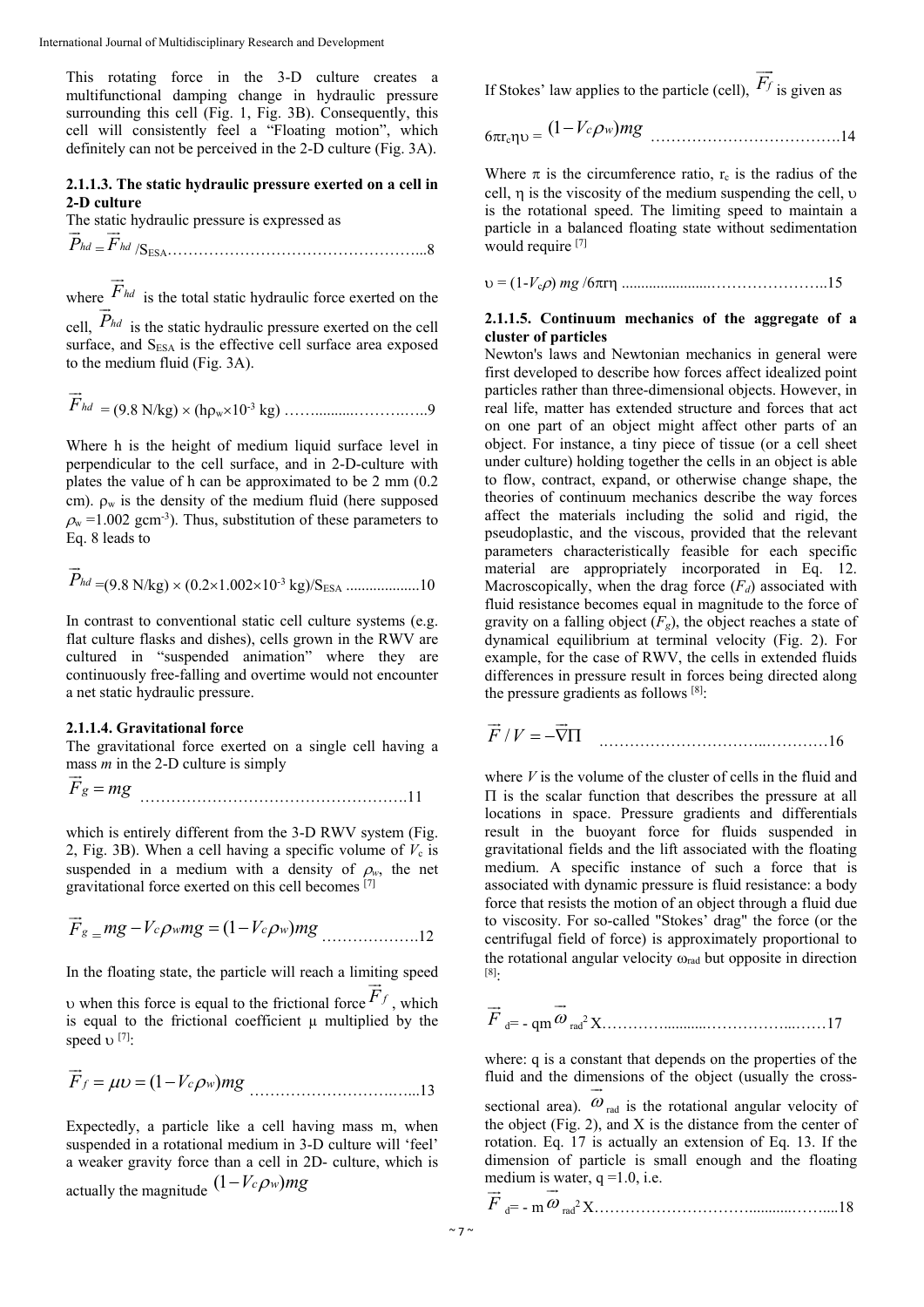This rotating force in the 3-D culture creates a multifunctional damping change in hydraulic pressure surrounding this cell (Fig. 1, Fig. 3B). Consequently, this cell will consistently feel a "Floating motion", which definitely can not be perceived in the 2-D culture (Fig. 3A).

#### **2.1.1.3. The static hydraulic pressure exerted on a cell in 2-D culture**

The static hydraulic pressure is expressed as *Phd* ..<br>고  $=$   $F$ <sub>hd</sub>  $\frac{1}{1}$ /SESA…………………………………………...8

where *Fhd*  $\overrightarrow{E}$  is the total static hydraulic force exerted on the  $\frac{1}{D}$ 

cell, *Phd* is the static hydraulic pressure exerted on the cell surface, and S<sub>ESA</sub> is the effective cell surface area exposed to the medium fluid (Fig. 3A).

*Fhd* = (9.8 N/kg) (hw10-3 kg) ……..........……….…..9

Where h is the height of medium liquid surface level in perpendicular to the cell surface, and in 2-D-culture with plates the value of h can be approximated to be 2 mm (0.2 cm).  $\rho_w$  is the density of the medium fluid (here supposed  $\rho_w$  =1.002 gcm<sup>-3</sup>). Thus, substitution of these parameters to Eq. 8 leads to

$$
\vec{P}_{hd} = (9.8 \text{ N/kg}) \times (0.2 \times 1.002 \times 10^{-3} \text{ kg})/\text{S}_{\text{ESA}} \dots \dots \dots \dots \dots 10
$$

In contrast to conventional static cell culture systems (e.g. flat culture flasks and dishes), cells grown in the RWV are cultured in "suspended animation" where they are continuously free-falling and overtime would not encounter a net static hydraulic pressure.

### **2.1.1.4. Gravitational force**

The gravitational force exerted on a single cell having a

mass *m* in the 2-D culture is simply  

$$
\vec{F}_g = mg
$$
 .................11

which is entirely different from the 3-D RWV system (Fig. 2, Fig. 3B). When a cell having a specific volume of  $V_c$  is suspended in a medium with a density of  $\rho_w$ , the net gravitational force exerted on this cell becomes [7]

$$
\vec{F}_g = mg - V_c \rho wmg = (1 - V_c \rho w)mg
$$
............12

In the floating state, the particle will reach a limiting speed  $\frac{11}{11}$ 

when this force is equal to the frictional force  $F_f$ , which is equal to the frictional coefficient u multiplied by the speed  $\nu$  [7]:

$$
\vec{F}_f = \mu v = (1 - V_c \rho_w) mg
$$
 ...............13

Expectedly, a particle like a cell having mass m, when suspended in a rotational medium in 3-D culture will 'feel' a weaker gravity force than a cell in 2D- culture, which is actually the magnitude  $(1 - V_c \rho_w) mg$ 

If Stokes' law applies to the particle (cell),  $F_f$  $\Rightarrow$ is given as

$$
6\pi r_c \eta v = (1 - V_c \rho w) mg
$$
............14

Where  $\pi$  is the circumference ratio,  $r_c$  is the radius of the cell,  $\eta$  is the viscosity of the medium suspending the cell,  $\nu$ is the rotational speed. The limiting speed to maintain a particle in a balanced floating state without sedimentation would require [7]

= (1-*V*c) *mg* /6r .......................…………………..15

#### **2.1.1.5. Continuum mechanics of the aggregate of a cluster of particles**

Newton's laws and Newtonian mechanics in general were first developed to describe how forces affect idealized point particles rather than three-dimensional objects. However, in real life, matter has extended structure and forces that act on one part of an object might affect other parts of an object. For instance, a tiny piece of tissue (or a cell sheet under culture) holding together the cells in an object is able to flow, contract, expand, or otherwise change shape, the theories of continuum mechanics describe the way forces affect the materials including the solid and rigid, the pseudoplastic, and the viscous, provided that the relevant parameters characteristically feasible for each specific material are appropriately incorporated in Eq. 12. Macroscopically, when the drag force  $(F_d)$  associated with fluid resistance becomes equal in magnitude to the force of gravity on a falling object  $(F_{\alpha})$ , the object reaches a state of dynamical equilibrium at terminal velocity (Fig. 2). For example, for the case of RWV, the cells in extended fluids differences in pressure result in forces being directed along the pressure gradients as follows [8]:

 $\vec{F}/V = -\vec{\nabla}\Pi$ .…………………………..…………16

where *V* is the volume of the cluster of cells in the fluid and  $\Pi$  is the scalar function that describes the pressure at all locations in space. Pressure gradients and differentials result in the buoyant force for fluids suspended in gravitational fields and the lift associated with the floating medium. A specific instance of such a force that is associated with dynamic pressure is fluid resistance: a body force that resists the motion of an object through a fluid due to viscosity. For so-called "Stokes' drag" the force (or the centrifugal field of force) is approximately proportional to the rotational angular velocity  $\omega_{rad}$  but opposite in direction [8]:

$$
\vec{F}_{d} = -\text{qm}\,\vec{\omega}_{rad}^{2}X
$$

where: q is a constant that depends on the properties of the fluid and the dimensions of the object (usually the cross- $\ddot{\ }$ 

sectional area).  $\omega$ rad is the rotational angular velocity of the object (Fig. 2), and X is the distance from the center of rotation. Eq. 17 is actually an extension of Eq. 13. If the dimension of particle is small enough and the floating medium is water,  $q = 1.0$ , i.e.

*F* d= - m rad2 X…………………………...........……....18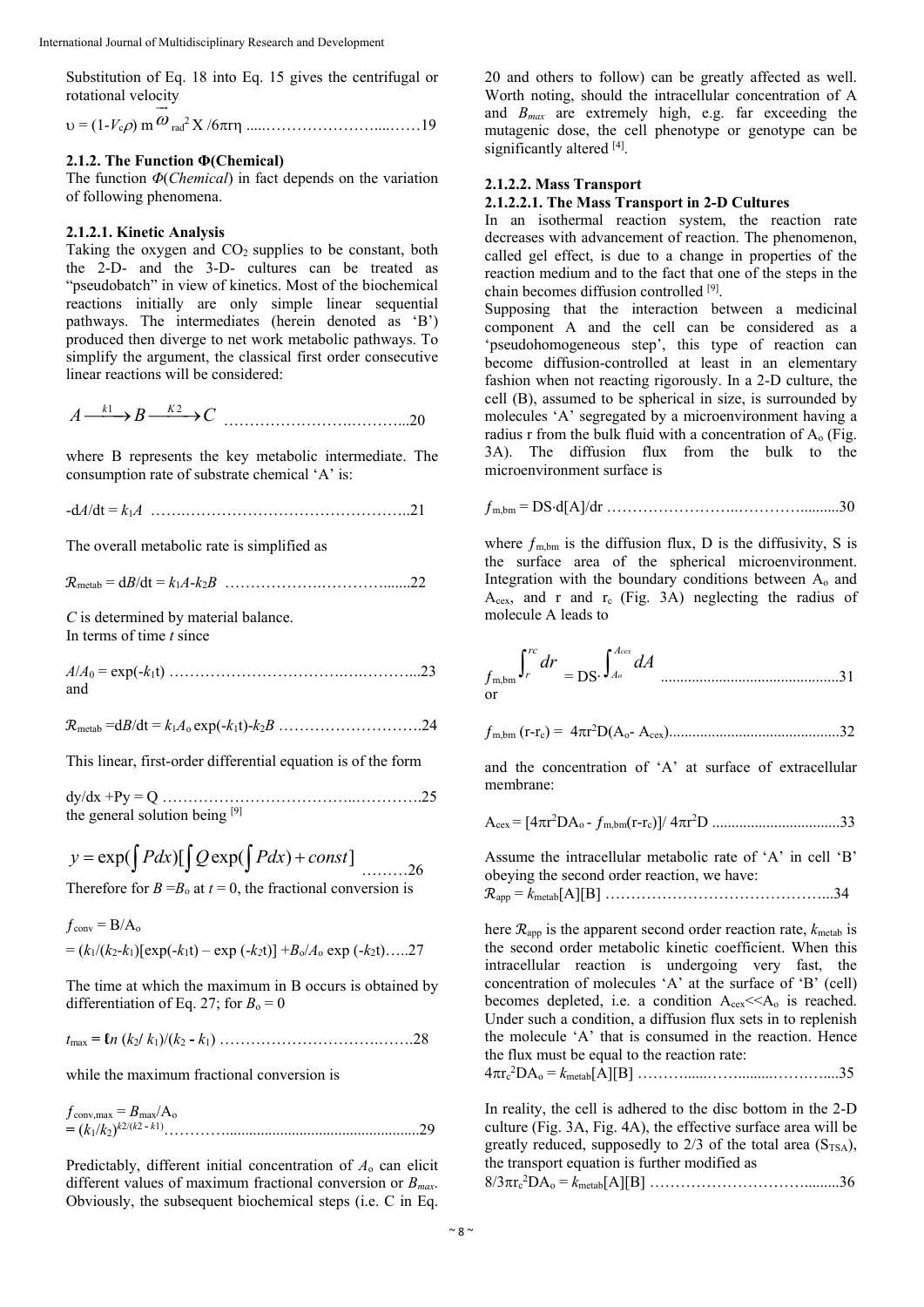Substitution of Eq. 18 into Eq. 15 gives the centrifugal or rotational velocity  $\frac{1}{x}$ 

 $v = (1 - V_c \rho)$  m  $\omega$ rad2 X /6r .....…………………....……19

#### **2.1.2. The Function Φ(Chemical)**

The function *Φ*(*Chemical*) in fact depends on the variation of following phenomena.

#### **2.1.2.1. Kinetic Analysis**

Taking the oxygen and  $CO<sub>2</sub>$  supplies to be constant, both the 2-D- and the 3-D- cultures can be treated as "pseudobatch" in view of kinetics. Most of the biochemical reactions initially are only simple linear sequential pathways. The intermediates (herein denoted as 'B') produced then diverge to net work metabolic pathways. To simplify the argument, the classical first order consecutive linear reactions will be considered:

 $A \xrightarrow{k_1} B \xrightarrow{k_2} C \dots$ 

where B represents the key metabolic intermediate. The consumption rate of substrate chemical 'A' is:

-d*A*/dt = *k*1*A* …….……………………………………..21

The overall metabolic rate is simplified as

࣬metab = d*B*/dt = *k*1*A*-*k*2*B* ……………….………….......22

*C* is determined by material balance. In terms of time *t* since

*A*/*A*0 = exp(-*k*1t) …………………………….….………...23 and

࣬metab =d*B*/dt = *k*1*A*o exp(-*k*1t)-*k*2*B* ……………………….24

This linear, first-order differential equation is of the form

dy/dx +Py = Q ………………………………..………….25 the general solution being [9]

 $y = \exp(\int Pdx) [\int Q \exp(\int Pdx) + const]$  ........26

Therefore for  $B = B_0$  at  $t = 0$ , the fractional conversion is

 $f_{\text{conv}} = B/A_0$  $= (k_1/(k_2-k_1)[\exp(-k_1t) - \exp(-k_2t)] + B_0/A_0 \exp(-k_2t)$ …..27

The time at which the maximum in B occurs is obtained by differentiation of Eq. 27; for  $B_0 = 0$ 

*t*max **= ℓ***n* (*k*2**/** *k*1)/(*k*2 **-** *k*1) ………………………….…….28

while the maximum fractional conversion is

 $f_{\text{conv,max}} = B_{\text{max}}/A_0$ **=** (*k*1/*k*2) *<sup>k</sup>*2/(*k*2 **-** *<sup>k</sup>*1)…………..................................................29

Predictably, different initial concentration of *A*o can elicit different values of maximum fractional conversion or *Bmax*. Obviously, the subsequent biochemical steps (i.e. C in Eq.

20 and others to follow) can be greatly affected as well. Worth noting, should the intracellular concentration of A and *Bmax* are extremely high, e.g. far exceeding the mutagenic dose, the cell phenotype or genotype can be significantly altered [4].

#### **2.1.2.2. Mass Transport**

### **2.1.2.2.1. The Mass Transport in 2-D Cultures**

In an isothermal reaction system, the reaction rate decreases with advancement of reaction. The phenomenon, called gel effect, is due to a change in properties of the reaction medium and to the fact that one of the steps in the chain becomes diffusion controlled [9].

Supposing that the interaction between a medicinal component A and the cell can be considered as a 'pseudohomogeneous step', this type of reaction can become diffusion-controlled at least in an elementary fashion when not reacting rigorously. In a 2-D culture, the cell (B), assumed to be spherical in size, is surrounded by molecules 'A' segregated by a microenvironment having a radius r from the bulk fluid with a concentration of  $A_0$  (Fig. 3A). The diffusion flux from the bulk to the microenvironment surface is

m,bm = DSd[A]/dr ……………………..…………..........30

where  $f_{\text{m,bm}}$  is the diffusion flux, D is the diffusivity, S is the surface area of the spherical microenvironment. Integration with the boundary conditions between  $A_0$  and  $A_{cex}$ , and r and r<sub>c</sub> (Fig. 3A) neglecting the radius of molecule A leads to

$$
f_{m,bm} \int_r^r dr = DS \cdot \int_{A_0}^{A \text{cex}} dA
$$
.................31

$$
f_{m,bm}
$$
 (r-r<sub>c</sub>) =  $4\pi r^2 D(A_0 - A_{cex})$ .................32

and the concentration of 'A' at surface of extracellular membrane:

$$
A_{cex} = [4\pi r^2 DA_o - f_{m,bm}(r-r_c)]/4\pi r^2D \dots (33)
$$

Assume the intracellular metabolic rate of 'A' in cell 'B' obeying the second order reaction, we have: ࣬app = *k*metab[A][B] ……………………………………...34

here  $\mathcal{R}_{\text{app}}$  is the apparent second order reaction rate,  $k_{\text{metal}}$  is the second order metabolic kinetic coefficient. When this intracellular reaction is undergoing very fast, the concentration of molecules 'A' at the surface of 'B' (cell) becomes depleted, i.e. a condition  $A_{\text{cex}} \leq A_0$  is reached. Under such a condition, a diffusion flux sets in to replenish the molecule 'A' that is consumed in the reaction. Hence the flux must be equal to the reaction rate:

4rc 2 DAo = *k*metab[A][B] ………......…….........…….…....35

In reality, the cell is adhered to the disc bottom in the 2-D culture (Fig. 3A, Fig. 4A), the effective surface area will be greatly reduced, supposedly to  $2/3$  of the total area  $(S_{TSA})$ , the transport equation is further modified as 8/3rc 2 DAo = *k*metab[A][B] ………………………….........36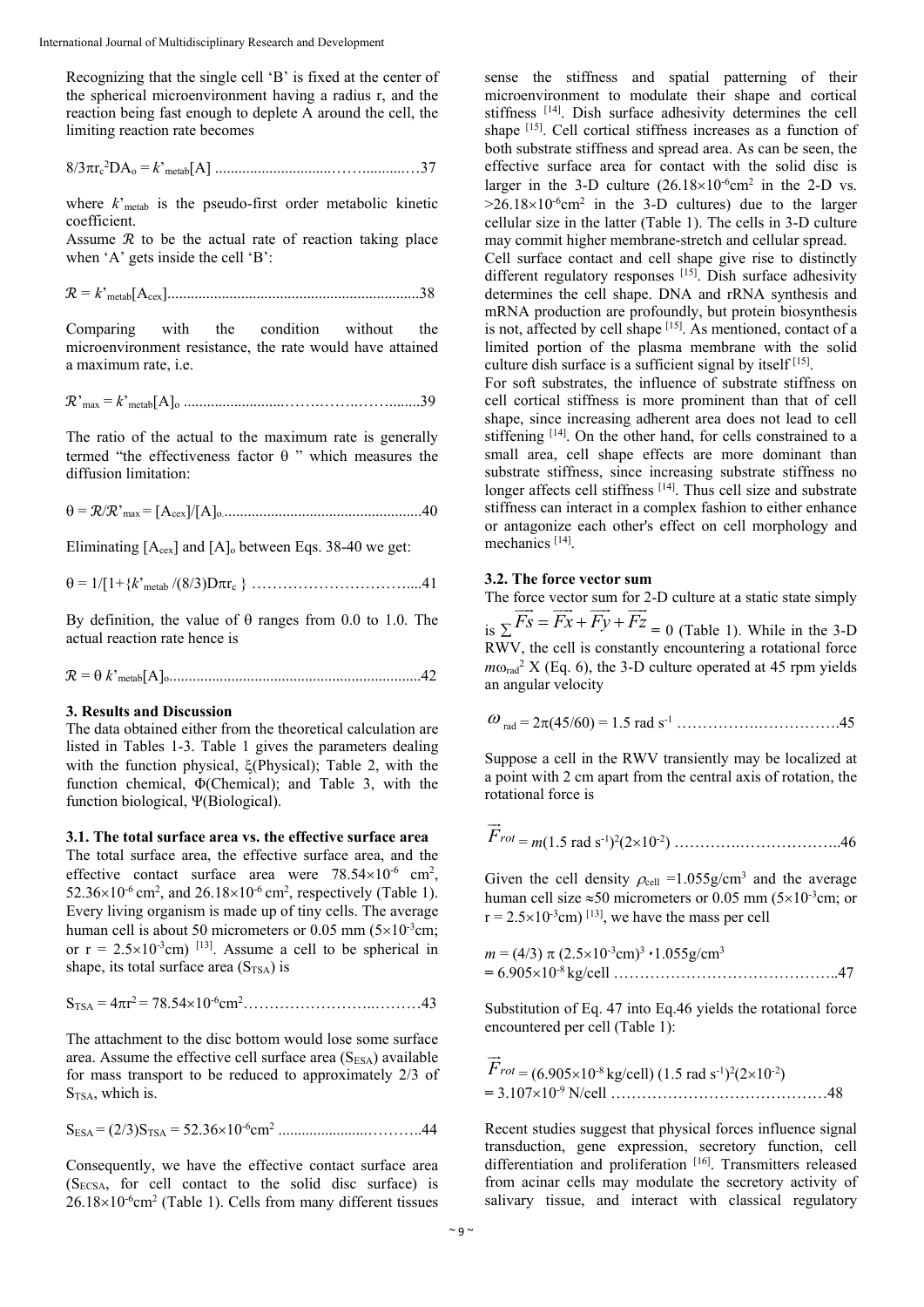Recognizing that the single cell 'B' is fixed at the center of the spherical microenvironment having a radius r, and the reaction being fast enough to deplete A around the cell, the limiting reaction rate becomes

8/3rc 2 DAo = *k*'metab[A] ..............................……...........…37

where  $k_{\text{metal}}$  is the pseudo-first order metabolic kinetic coefficient.

Assume  $\mathcal R$  to be the actual rate of reaction taking place when 'A' gets inside the cell 'B':

࣬ = *k*'metab[Acex].................................................................38

Comparing with the condition without the microenvironment resistance, the rate would have attained a maximum rate, i.e.

࣬'max = *k*'metab[A]o ..........................…….……..……........39

The ratio of the actual to the maximum rate is generally termed "the effectiveness factor  $\theta$ " which measures the diffusion limitation:

= ࣬/࣬'max = [Acex]/[A]o....................................................40

Eliminating  $[A_{\text{cex}}]$  and  $[A]_0$  between Eqs. 38-40 we get:

= 1/[1+{*k*'metab /(8/3)Drc } …………………………....41

By definition, the value of  $\theta$  ranges from 0.0 to 1.0. The actual reaction rate hence is

࣬ = *k*'metab[A]o.................................................................42

#### **3. Results and Discussion**

The data obtained either from the theoretical calculation are listed in Tables 1-3. Table 1 gives the parameters dealing with the function physical,  $\zeta$ (Physical); Table 2, with the function chemical, Φ(Chemical); and Table 3, with the function biological, Ψ(Biological).

#### **3.1. The total surface area vs. the effective surface area**

The total surface area, the effective surface area, and the effective contact surface area were  $78.54 \times 10^{-6}$  cm<sup>2</sup>,  $52.36 \times 10^{-6}$  cm<sup>2</sup>, and  $26.18 \times 10^{-6}$  cm<sup>2</sup>, respectively (Table 1). Every living organism is made up of tiny cells. The average human cell is about 50 micrometers or 0.05 mm  $(5\times10^{-3}cm)$ ; or  $r = 2.5 \times 10^{-3}$ cm) <sup>[13]</sup>. Assume a cell to be spherical in shape, its total surface area  $(S_{TSA})$  is

$$
S_{\text{TSA}} = 4\pi r^2 = 78.54 \times 10^{-6} \text{cm}^2 \dots
$$
 43

The attachment to the disc bottom would lose some surface area. Assume the effective cell surface area  $(S<sub>ESA</sub>)$  available for mass transport to be reduced to approximately 2/3 of S<sub>TSA</sub>, which is.

SESA = (2/3)STSA = 52.3610-6cm2 .......................………..44

Consequently, we have the effective contact surface area  $(S_{ECSA},$  for cell contact to the solid disc surface) is  $26.18\times10^{-6}$ cm<sup>2</sup> (Table 1). Cells from many different tissues

sense the stiffness and spatial patterning of their microenvironment to modulate their shape and cortical stiffness [14]. Dish surface adhesivity determines the cell shape <sup>[15]</sup>. Cell cortical stiffness increases as a function of both substrate stiffness and spread area. As can be seen, the effective surface area for contact with the solid disc is larger in the 3-D culture  $(26.18\times10^{-6} \text{cm}^2$  in the 2-D vs.  $>26.18\times10^{-6}$ cm<sup>2</sup> in the 3-D cultures) due to the larger cellular size in the latter (Table 1). The cells in 3-D culture may commit higher membrane-stretch and cellular spread.

Cell surface contact and cell shape give rise to distinctly different regulatory responses [15]. Dish surface adhesivity determines the cell shape. DNA and rRNA synthesis and mRNA production are profoundly, but protein biosynthesis is not, affected by cell shape [15]. As mentioned, contact of a limited portion of the plasma membrane with the solid culture dish surface is a sufficient signal by itself [15].

For soft substrates, the influence of substrate stiffness on cell cortical stiffness is more prominent than that of cell shape, since increasing adherent area does not lead to cell stiffening [14]. On the other hand, for cells constrained to a small area, cell shape effects are more dominant than substrate stiffness, since increasing substrate stiffness no longer affects cell stiffness [14]. Thus cell size and substrate stiffness can interact in a complex fashion to either enhance or antagonize each other's effect on cell morphology and mechanics [14].

#### **3.2. The force vector sum**

The force vector sum for 2-D culture at a static state simply is  $\sum \overline{Fs} = \overline{Fx} + \overline{Fy} + \overline{Fz} = 0$  (Table 1). While in the 3-D RWV, the cell is constantly encountering a rotational force  $m\omega_{rad}^2$  X (Eq. 6), the 3-D culture operated at 45 rpm yields an angular velocity

$$
\omega_{\text{rad}} = 2\pi (45/60) = 1.5 \text{ rad s}^{-1} \dots \dots \dots \dots \dots \dots \dots 45
$$

Suppose a cell in the RWV transiently may be localized at a point with 2 cm apart from the central axis of rotation, the rotational force is

$$
\vec{F}_{rot} = m(1.5 \text{ rad s}^{-1})^2 (2 \times 10^{-2}) \dots \dots \dots \dots \dots \dots \dots \dots \dots \dots 46
$$

Given the cell density  $\rho_{cell} = 1.055g/cm^3$  and the average human cell size  $\approx 50$  micrometers or 0.05 mm ( $5\times10^{-3}$ cm; or  $r = 2.5 \times 10^{-3}$ cm) <sup>[13]</sup>, we have the mass per cell

$$
m = (4/3) \pi (2.5 \times 10^{-3} \text{cm})^3 \cdot 1.055 \text{g/cm}^3
$$
  
= 6.905×10<sup>-8</sup> kg/cell

Substitution of Eq. 47 into Eq.46 yields the rotational force encountered per cell (Table 1):

$$
\overrightarrow{F}_{rot} = (6.905 \times 10^{-8} \text{ kg/cell}) (1.5 \text{ rad s}^{-1})^2 (2 \times 10^{-2})
$$
  
= 3.107×10<sup>-9</sup> N/cell

Recent studies suggest that physical forces influence signal transduction, gene expression, secretory function, cell differentiation and proliferation [16]. Transmitters released from acinar cells may modulate the secretory activity of salivary tissue, and interact with classical regulatory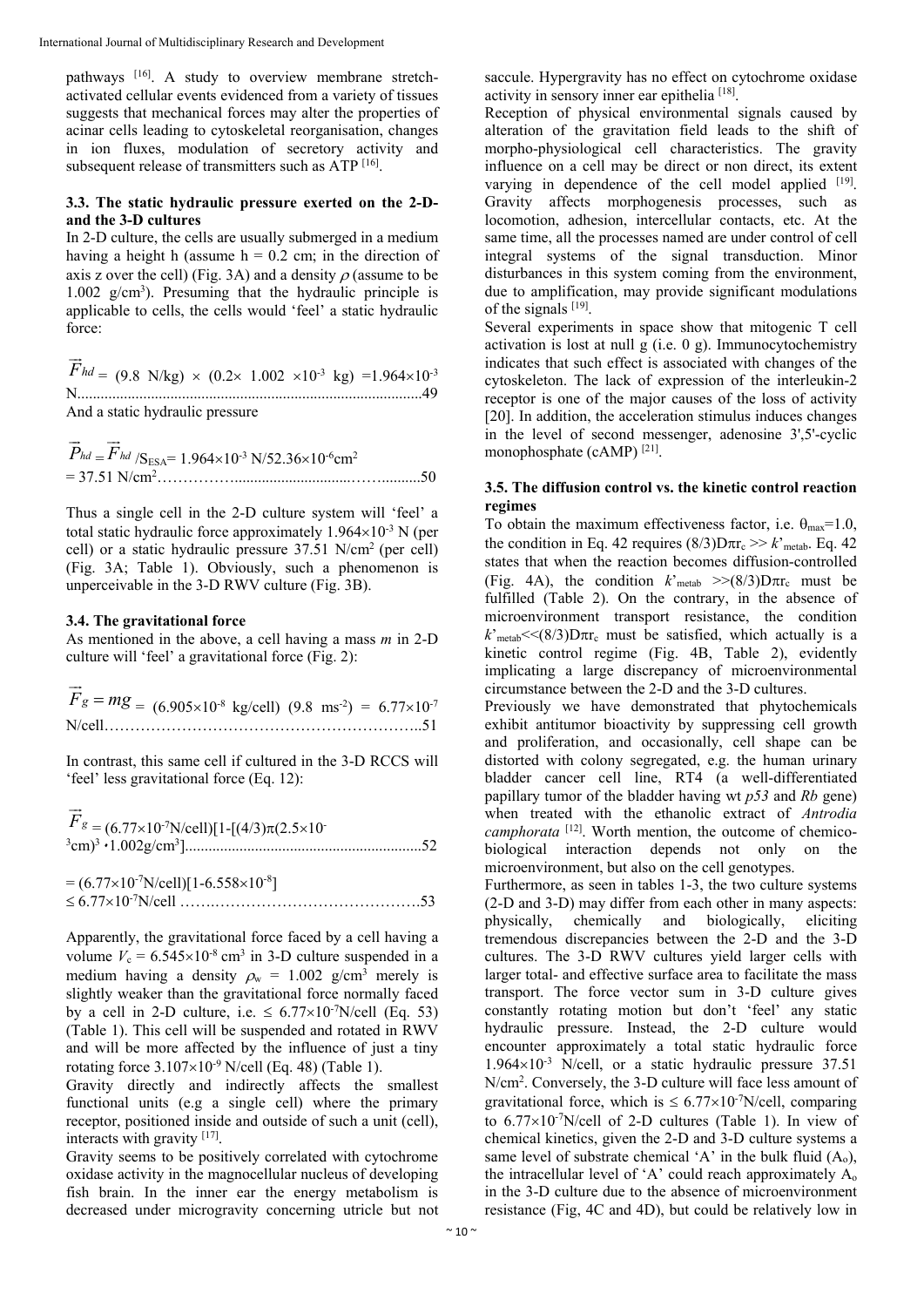pathways [16]. A study to overview membrane stretchactivated cellular events evidenced from a variety of tissues suggests that mechanical forces may alter the properties of acinar cells leading to cytoskeletal reorganisation, changes in ion fluxes, modulation of secretory activity and subsequent release of transmitters such as  $\widehat{ATP}$  [16].

# **3.3. The static hydraulic pressure exerted on the 2-Dand the 3-D cultures**

In 2-D culture, the cells are usually submerged in a medium having a height h (assume  $h = 0.2$  cm; in the direction of axis z over the cell) (Fig. 3A) and a density  $\rho$  (assume to be 1.002 g/cm3 ). Presuming that the hydraulic principle is applicable to cells, the cells would 'feel' a static hydraulic force:

*Fhd*  $\vec{r}$  $= (9.8 \text{ N/kg}) \times (0.2 \times 1.002 \times 10^{-3} \text{ kg}) = 1.964 \times 10^{-3}$ N.........................................................................................49 And a static hydraulic pressure

*Phd*  $\overrightarrow{D}$  $=$   $F$ <sub>hd</sub>  $\overrightarrow{r}$  $/S_{\text{ESA}}$ = 1.964×10<sup>-3</sup> N/52.36×10<sup>-6</sup>cm<sup>2</sup> = 37.51 N/cm2 ……………..............................……..........50

Thus a single cell in the 2-D culture system will 'feel' a total static hydraulic force approximately  $1.964\times10^{-3}$  N (per cell) or a static hydraulic pressure 37.51 N/cm2 (per cell) (Fig. 3A; Table 1). Obviously, such a phenomenon is unperceivable in the 3-D RWV culture (Fig. 3B).

#### **3.4. The gravitational force**

As mentioned in the above, a cell having a mass *m* in 2-D culture will 'feel' a gravitational force (Fig. 2):

 $\vec{F}_g = mg$  = (6.905×10<sup>-8</sup> kg/cell) (9.8 ms<sup>-2</sup>) = 6.77×10<sup>-7</sup> N/cell……………………………………………………..51

In contrast, this same cell if cultured in the 3-D RCCS will 'feel' less gravitational force (Eq. 12):

| $F_{g} = (6.77 \times 10^{-7} \text{N/cell})[1 - [(4/3)\pi (2.5 \times 10^{-7} \text{N/} \cdot \text{m}^2/\text{N} \cdot \text{m}^2/\text{m}^2/\text{m}^2)]$ |  |
|--------------------------------------------------------------------------------------------------------------------------------------------------------------|--|
|                                                                                                                                                              |  |

 $= (6.77 \times 10^{-7} \text{N/cell})[1 - 6.558 \times 10^{-8}]$ 6.7710-7N/cell …….………………………………….53

Apparently, the gravitational force faced by a cell having a volume  $V_c = 6.545 \times 10^{-8}$  cm<sup>3</sup> in 3-D culture suspended in a medium having a density  $\rho_w = 1.002$  g/cm<sup>3</sup> merely is slightly weaker than the gravitational force normally faced by a cell in 2-D culture, i.e.  $\leq 6.77 \times 10^{-7}$ N/cell (Eq. 53) (Table 1). This cell will be suspended and rotated in RWV and will be more affected by the influence of just a tiny rotating force  $3.107\times10^{-9}$  N/cell (Eq. 48) (Table 1).

Gravity directly and indirectly affects the smallest functional units (e.g a single cell) where the primary receptor, positioned inside and outside of such a unit (cell), interacts with gravity [17].

Gravity seems to be positively correlated with cytochrome oxidase activity in the magnocellular nucleus of developing fish brain. In the inner ear the energy metabolism is decreased under microgravity concerning utricle but not

saccule. Hypergravity has no effect on cytochrome oxidase activity in sensory inner ear epithelia [18].

Reception of physical environmental signals caused by alteration of the gravitation field leads to the shift of morpho-physiological cell characteristics. The gravity influence on a cell may be direct or non direct, its extent varying in dependence of the cell model applied  $[19]$ . Gravity affects morphogenesis processes, such as locomotion, adhesion, intercellular contacts, etc. At the same time, all the processes named are under control of cell integral systems of the signal transduction. Minor disturbances in this system coming from the environment, due to amplification, may provide significant modulations of the signals [19].

Several experiments in space show that mitogenic T cell activation is lost at null g (i.e. 0 g). Immunocytochemistry indicates that such effect is associated with changes of the cytoskeleton. The lack of expression of the interleukin-2 receptor is one of the major causes of the loss of activity [20]. In addition, the acceleration stimulus induces changes in the level of second messenger, adenosine 3',5'-cyclic monophosphate (cAMP)<sup>[21]</sup>.

#### **3.5. The diffusion control vs. the kinetic control reaction regimes**

To obtain the maximum effectiveness factor, i.e.  $\theta_{\text{max}}=1.0$ , the condition in Eq. 42 requires  $(8/3)$ D $\pi r_c$  >> *k*'<sub>metab</sub>. Eq. 42 states that when the reaction becomes diffusion-controlled (Fig. 4A), the condition  $k'$ <sub>metab</sub>  $\gg$ (8/3)D $\pi r_c$  must be fulfilled (Table 2). On the contrary, in the absence of microenvironment transport resistance, the condition  $k<sup>th</sup>_{\text{metab}} << (8/3)D\pi r_c$  must be satisfied, which actually is a kinetic control regime (Fig. 4B, Table 2), evidently implicating a large discrepancy of microenvironmental circumstance between the 2-D and the 3-D cultures.

Previously we have demonstrated that phytochemicals exhibit antitumor bioactivity by suppressing cell growth and proliferation, and occasionally, cell shape can be distorted with colony segregated, e.g. the human urinary bladder cancer cell line, RT4 (a well-differentiated papillary tumor of the bladder having wt *p53* and *Rb* gene) when treated with the ethanolic extract of *Antrodia camphorata* <sup>[12]</sup>. Worth mention, the outcome of chemicobiological interaction depends not only on the microenvironment, but also on the cell genotypes.

Furthermore, as seen in tables 1-3, the two culture systems (2-D and 3-D) may differ from each other in many aspects: physically, chemically and biologically, eliciting tremendous discrepancies between the 2-D and the 3-D cultures. The 3-D RWV cultures yield larger cells with larger total- and effective surface area to facilitate the mass transport. The force vector sum in 3-D culture gives constantly rotating motion but don't 'feel' any static hydraulic pressure. Instead, the 2-D culture would encounter approximately a total static hydraulic force  $1.964\times10^{-3}$  N/cell, or a static hydraulic pressure 37.51 N/cm<sup>2</sup>. Conversely, the 3-D culture will face less amount of gravitational force, which is  $\leq 6.77 \times 10^{-7}$ N/cell, comparing to  $6.77 \times 10^{-7}$ N/cell of 2-D cultures (Table 1). In view of chemical kinetics, given the 2-D and 3-D culture systems a same level of substrate chemical 'A' in the bulk fluid  $(A_0)$ , the intracellular level of 'A' could reach approximately Ao in the 3-D culture due to the absence of microenvironment resistance (Fig, 4C and 4D), but could be relatively low in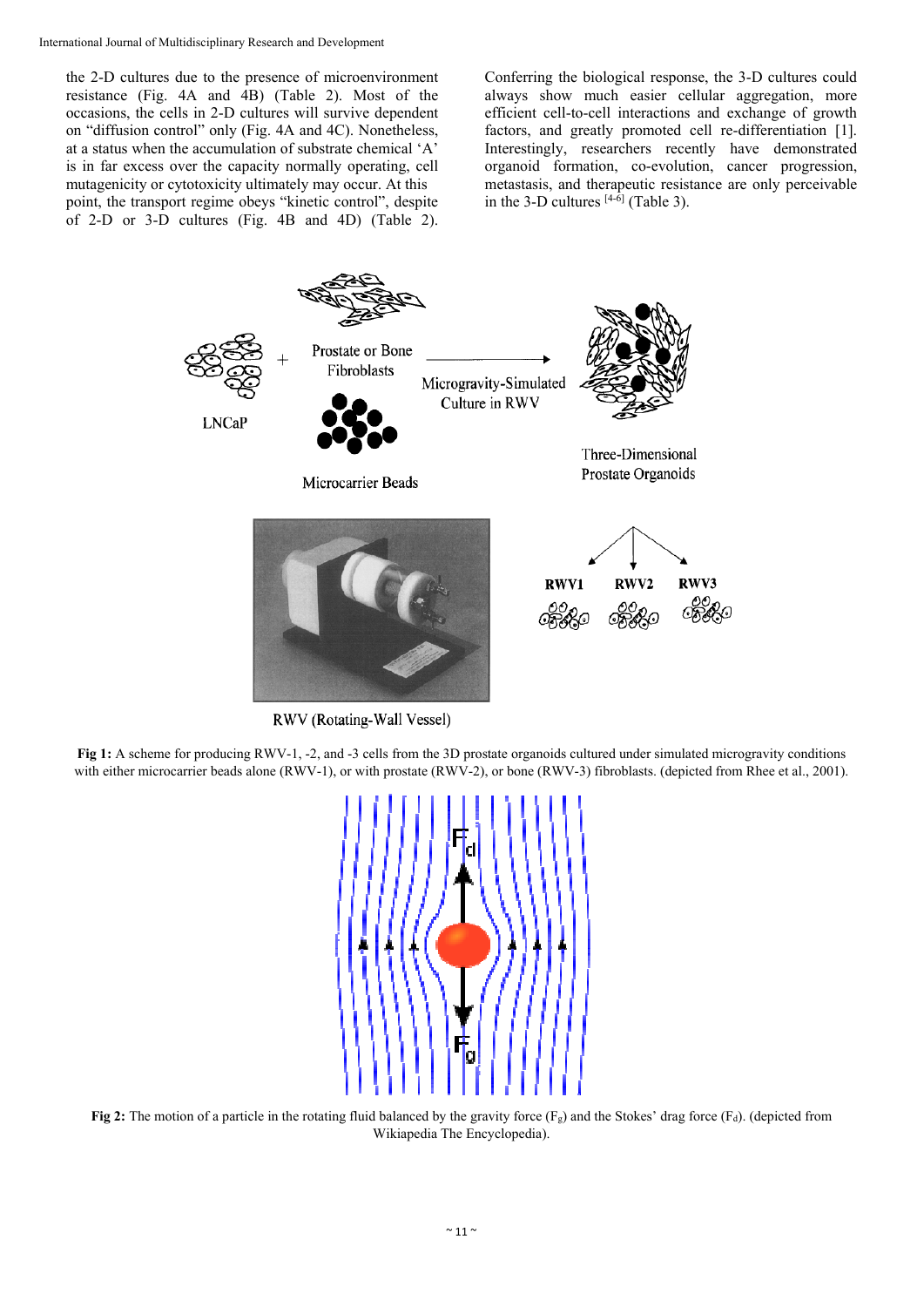the 2-D cultures due to the presence of microenvironment resistance (Fig. 4A and 4B) (Table 2). Most of the occasions, the cells in 2-D cultures will survive dependent on "diffusion control" only (Fig. 4A and 4C). Nonetheless, at a status when the accumulation of substrate chemical 'A' is in far excess over the capacity normally operating, cell mutagenicity or cytotoxicity ultimately may occur. At this point, the transport regime obeys "kinetic control", despite of 2-D or 3-D cultures (Fig. 4B and 4D) (Table 2).

Conferring the biological response, the 3-D cultures could always show much easier cellular aggregation, more efficient cell-to-cell interactions and exchange of growth factors, and greatly promoted cell re-differentiation [1]. Interestingly, researchers recently have demonstrated organoid formation, co-evolution, cancer progression, metastasis, and therapeutic resistance are only perceivable in the 3-D cultures  $[4-6]$  (Table 3).



RWV (Rotating-Wall Vessel)

**Fig 1:** A scheme for producing RWV-1, -2, and -3 cells from the 3D prostate organoids cultured under simulated microgravity conditions with either microcarrier beads alone (RWV-1), or with prostate (RWV-2), or bone (RWV-3) fibroblasts. (depicted from Rhee et al., 2001).



**Fig 2:** The motion of a particle in the rotating fluid balanced by the gravity force  $(F_g)$  and the Stokes' drag force  $(F_g)$ . (depicted from Wikiapedia The Encyclopedia).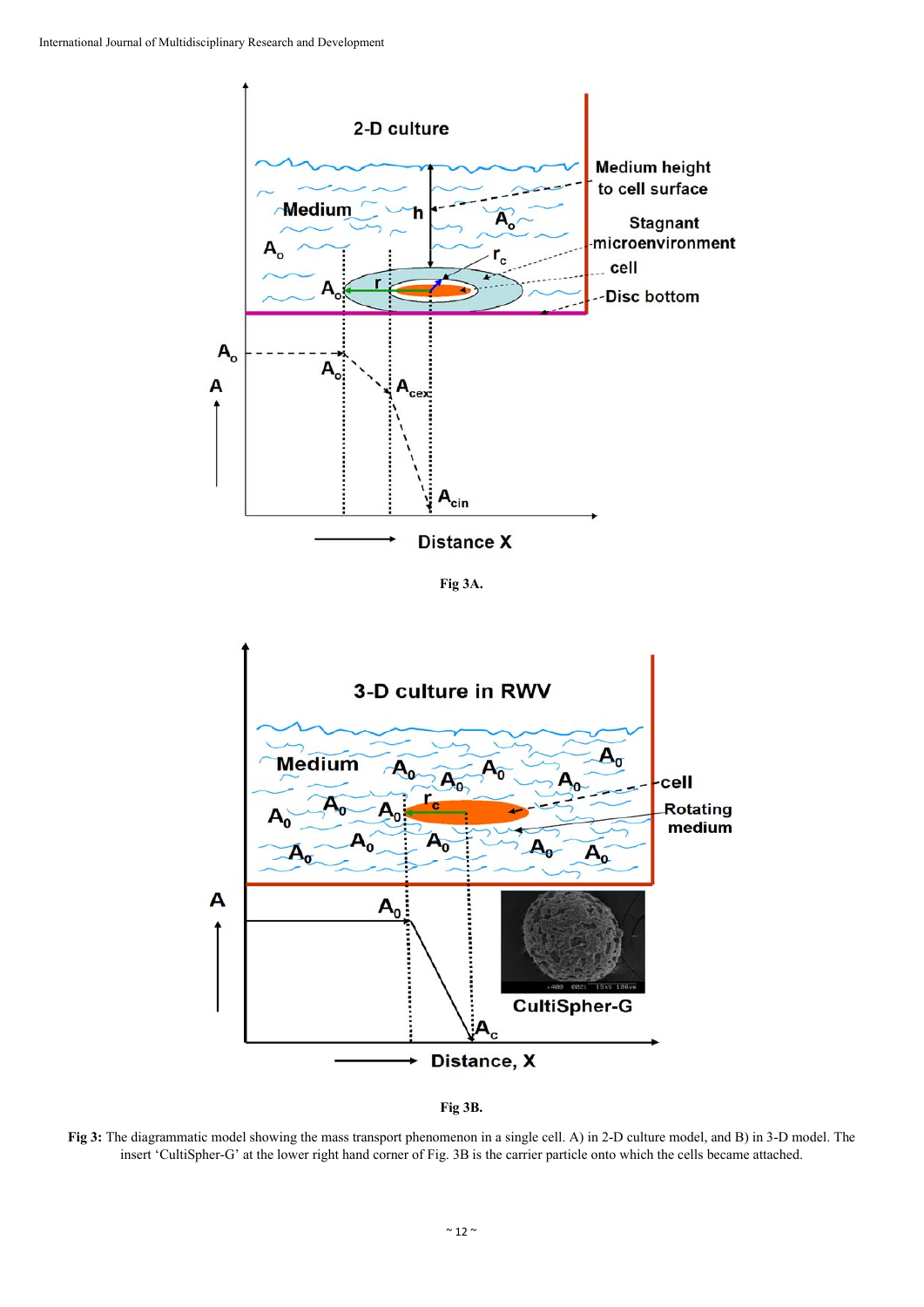

**Fig 3A.**





**Fig 3:** The diagrammatic model showing the mass transport phenomenon in a single cell. A) in 2-D culture model, and B) in 3-D model. The insert 'CultiSpher-G' at the lower right hand corner of Fig. 3B is the carrier particle onto which the cells became attached.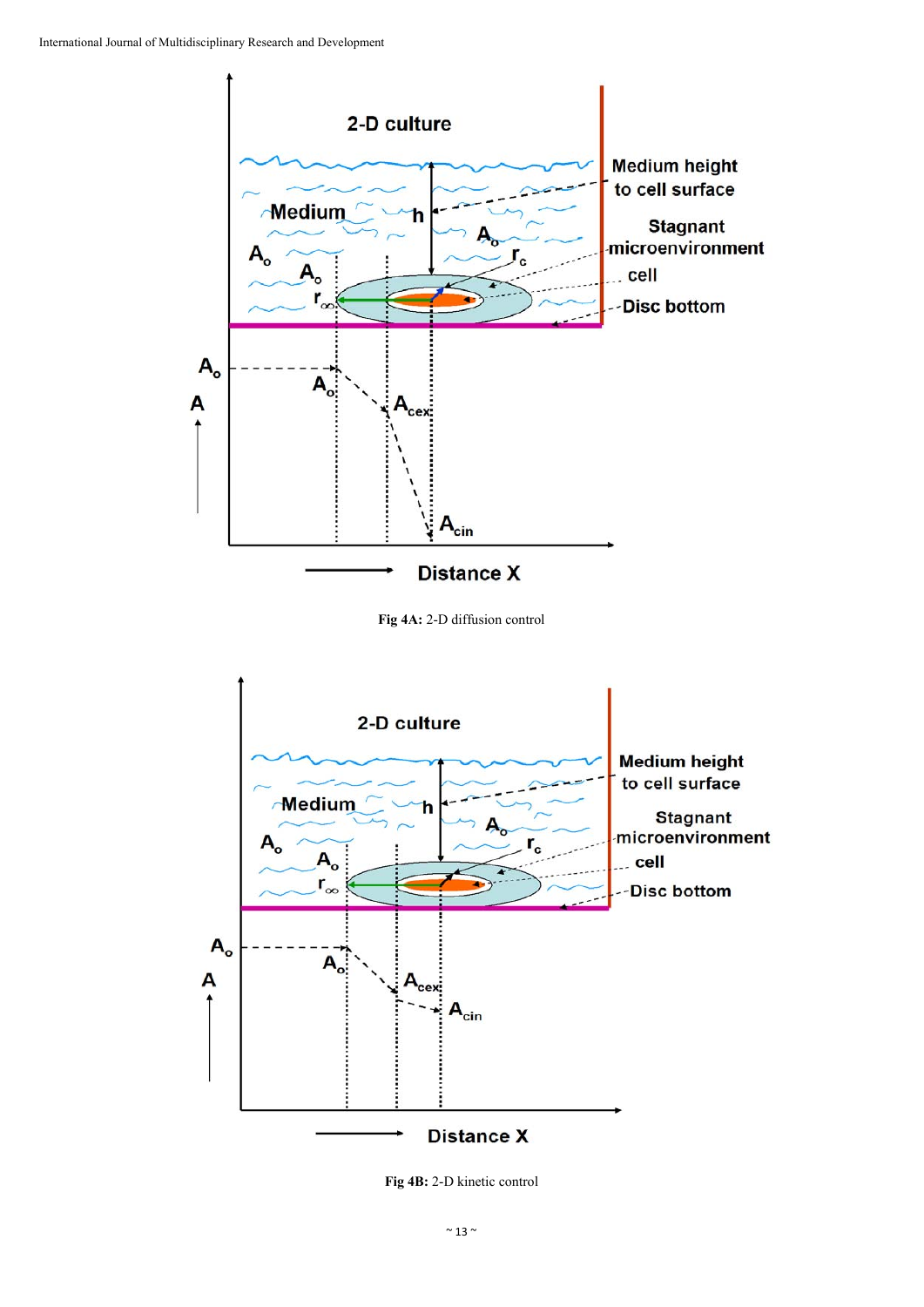

**Fig 4A:** 2-D diffusion control



**Fig 4B:** 2-D kinetic control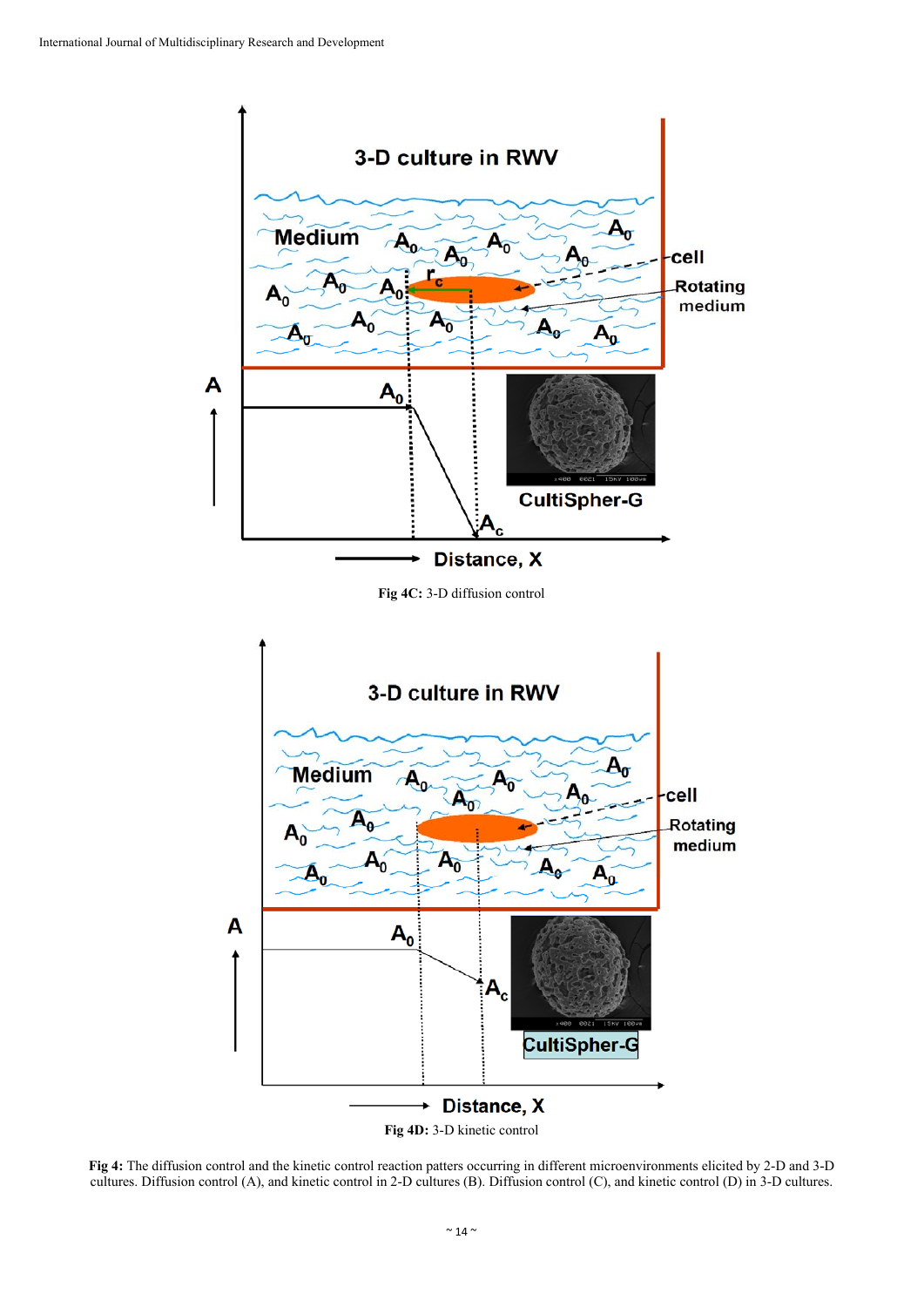

**Fig 4:** The diffusion control and the kinetic control reaction patters occurring in different microenvironments elicited by 2-D and 3-D cultures. Diffusion control (A), and kinetic control in 2-D cultures (B). Diffusion control (C), and kinetic control (D) in 3-D cultures.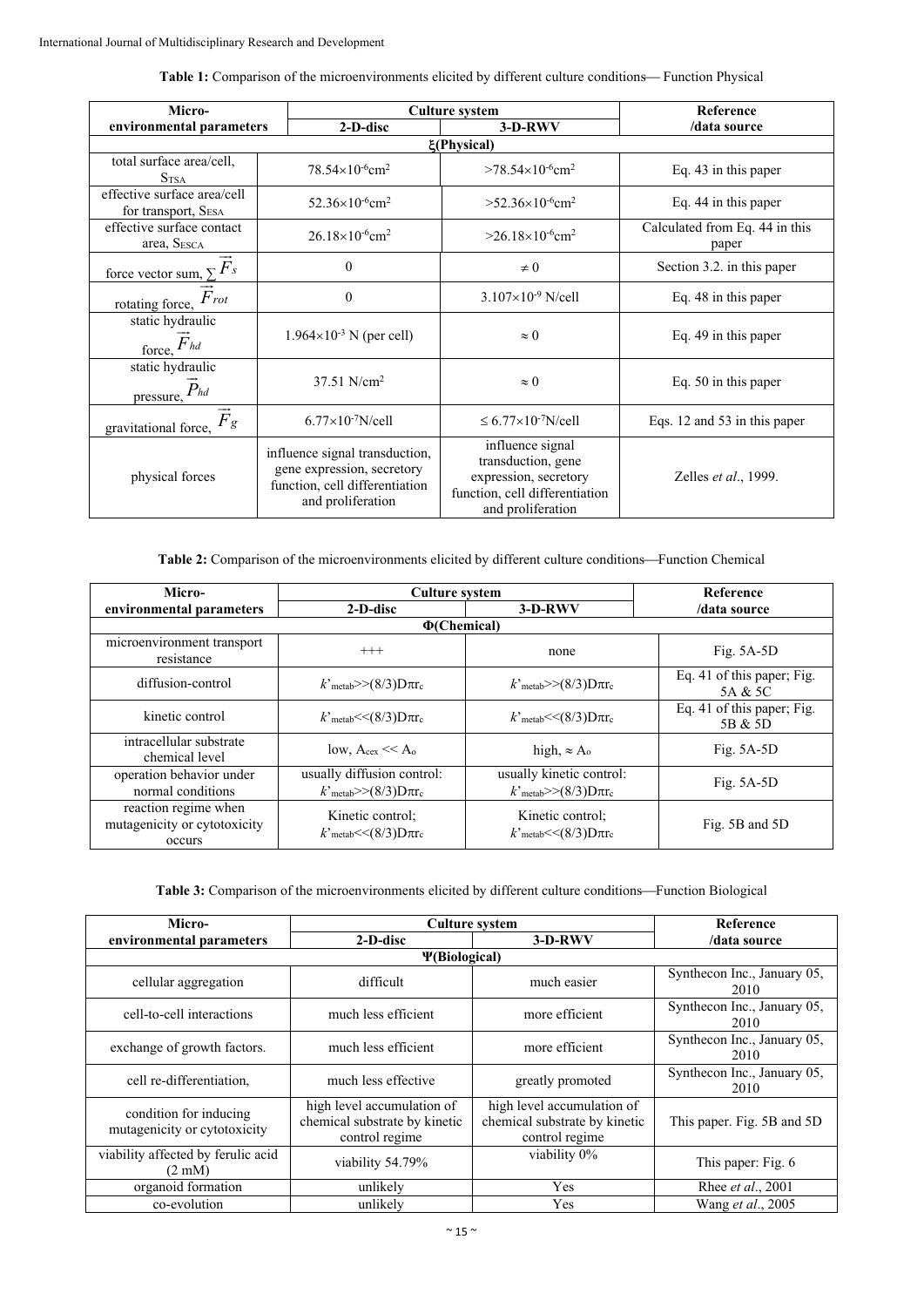| <b>Table 1:</b> Comparison of the microenvironments elicited by different culture conditions—Function Physical |  |  |  |  |  |  |  |
|----------------------------------------------------------------------------------------------------------------|--|--|--|--|--|--|--|
|----------------------------------------------------------------------------------------------------------------|--|--|--|--|--|--|--|

| Micro-                                               | <b>Culture system</b>                                                                                               |                                                                                                                        | Reference                               |  |  |  |
|------------------------------------------------------|---------------------------------------------------------------------------------------------------------------------|------------------------------------------------------------------------------------------------------------------------|-----------------------------------------|--|--|--|
| environmental parameters                             | 2-D-disc                                                                                                            | $3-D-RWV$                                                                                                              | /data source                            |  |  |  |
| ξ(Physical)                                          |                                                                                                                     |                                                                                                                        |                                         |  |  |  |
| total surface area/cell,<br>S <sub>TSA</sub>         | $78.54\times10^{-6}$ cm <sup>2</sup>                                                                                | $>78.54\times10^{6}$ cm <sup>2</sup>                                                                                   | Eq. 43 in this paper                    |  |  |  |
| effective surface area/cell<br>for transport, SESA   | $52.36\times10^{-6}$ cm <sup>2</sup>                                                                                | $>52.36\times10^{6}$ cm <sup>2</sup>                                                                                   | Eq. 44 in this paper                    |  |  |  |
| effective surface contact<br>area, SESCA             | $26.18\times10^{-6}$ cm <sup>2</sup>                                                                                | $>26.18\times10^{-6}$ cm <sup>2</sup>                                                                                  | Calculated from Eq. 44 in this<br>paper |  |  |  |
| force vector sum, $\sum \overrightarrow{F}_s$        | $\theta$                                                                                                            | $\neq 0$                                                                                                               | Section 3.2. in this paper              |  |  |  |
| rotating force, $\overrightarrow{F}$ rot             | $\boldsymbol{0}$                                                                                                    | $3.107\times10^{-9}$ N/cell                                                                                            | Eq. 48 in this paper                    |  |  |  |
| static hydraulic<br>force, $\overrightarrow{F}_{hd}$ | $1.964 \times 10^{-3}$ N (per cell)                                                                                 | $\approx 0$                                                                                                            | Eq. 49 in this paper                    |  |  |  |
| static hydraulic<br>pressure, $\vec{P}_{hd}$         | $37.51$ N/cm <sup>2</sup>                                                                                           | $\approx 0$                                                                                                            | Eq. 50 in this paper                    |  |  |  |
| $\vec{F}_g$<br>gravitational force,                  | $6.77\times10^{-7}$ N/cell                                                                                          | $\leq 6.77 \times 10^{-7}$ N/cell                                                                                      | Eqs. 12 and 53 in this paper            |  |  |  |
| physical forces                                      | influence signal transduction,<br>gene expression, secretory<br>function, cell differentiation<br>and proliferation | influence signal<br>transduction, gene<br>expression, secretory<br>function, cell differentiation<br>and proliferation | Zelles et al., 1999.                    |  |  |  |

Table 2: Comparison of the microenvironments elicited by different culture conditions—Function Chemical

| Micro-                                                         | <b>Culture system</b>                                                     | <b>Reference</b>                                                        |                                       |  |
|----------------------------------------------------------------|---------------------------------------------------------------------------|-------------------------------------------------------------------------|---------------------------------------|--|
| environmental parameters                                       | 2-D-disc<br>3-D-RWV                                                       |                                                                         | /data source                          |  |
|                                                                | $\Phi$ (Chemical)                                                         |                                                                         |                                       |  |
| microenvironment transport<br>resistance                       | $^{+++}$                                                                  | none                                                                    | Fig. $5A-5D$                          |  |
| diffusion-control                                              | $k$ 'metab>>(8/3)D $\pi r_c$                                              | $k3$ <sub>metab</sub> >>(8/3)D $\pi r_c$                                | Eq. 41 of this paper; Fig.<br>5A & 5C |  |
| kinetic control                                                | $k'$ <sub>metab</sub> $<<$ (8/3) $D\pi r_c$                               | $k$ 'metab $\leq$ (8/3) $D\pi r_c$                                      | Eq. 41 of this paper; Fig.<br>5B & 5D |  |
| intracellular substrate<br>chemical level                      | low, $A_{\text{cex}} \ll A_0$                                             | high, $\approx$ A <sub>o</sub>                                          | Fig. $5A-5D$                          |  |
| operation behavior under<br>normal conditions                  | usually diffusion control:<br>$k'$ <sub>metab</sub> $>>$ (8/3)D $\pi r_c$ | usually kinetic control:<br>$k'$ <sub>metab</sub> $>>$ (8/3)D $\pi r_c$ | Fig. $5A-5D$                          |  |
| reaction regime when<br>mutagenicity or cytotoxicity<br>occurs | Kinetic control:<br>$k$ 'metab $<<$ (8/3) $D\pi r_c$                      | Kinetic control:<br>$k$ 'metab $<<$ (8/3) $D\pi r_c$                    | Fig. 5B and 5D                        |  |

| Table 3: Comparison of the microenvironments elicited by different culture conditions—Function Biological |  |  |
|-----------------------------------------------------------------------------------------------------------|--|--|
|-----------------------------------------------------------------------------------------------------------|--|--|

| Micro-                                                 | <b>Culture system</b>                                                         | Reference                                                                     |                                     |  |  |  |
|--------------------------------------------------------|-------------------------------------------------------------------------------|-------------------------------------------------------------------------------|-------------------------------------|--|--|--|
| environmental parameters                               | 2-D-disc                                                                      | $3-D-RWV$                                                                     | /data source                        |  |  |  |
| <b>P</b> (Biological)                                  |                                                                               |                                                                               |                                     |  |  |  |
| cellular aggregation                                   | difficult                                                                     | much easier                                                                   | Synthecon Inc., January 05,<br>2010 |  |  |  |
| cell-to-cell interactions                              | much less efficient                                                           | more efficient                                                                | Synthecon Inc., January 05,<br>2010 |  |  |  |
| exchange of growth factors.                            | much less efficient                                                           | more efficient                                                                | Synthecon Inc., January 05,<br>2010 |  |  |  |
| cell re-differentiation.                               | much less effective                                                           | greatly promoted                                                              | Synthecon Inc., January 05,<br>2010 |  |  |  |
| condition for inducing<br>mutagenicity or cytotoxicity | high level accumulation of<br>chemical substrate by kinetic<br>control regime | high level accumulation of<br>chemical substrate by kinetic<br>control regime | This paper. Fig. 5B and 5D          |  |  |  |
| viability affected by ferulic acid<br>$(2 \text{ mM})$ | viability 54.79%                                                              | viability 0%                                                                  | This paper: Fig. 6                  |  |  |  |
| organoid formation                                     | unlikely                                                                      | Yes                                                                           | Rhee <i>et al.</i> , 2001           |  |  |  |
| co-evolution                                           | unlikely                                                                      | Yes                                                                           | Wang et al., 2005                   |  |  |  |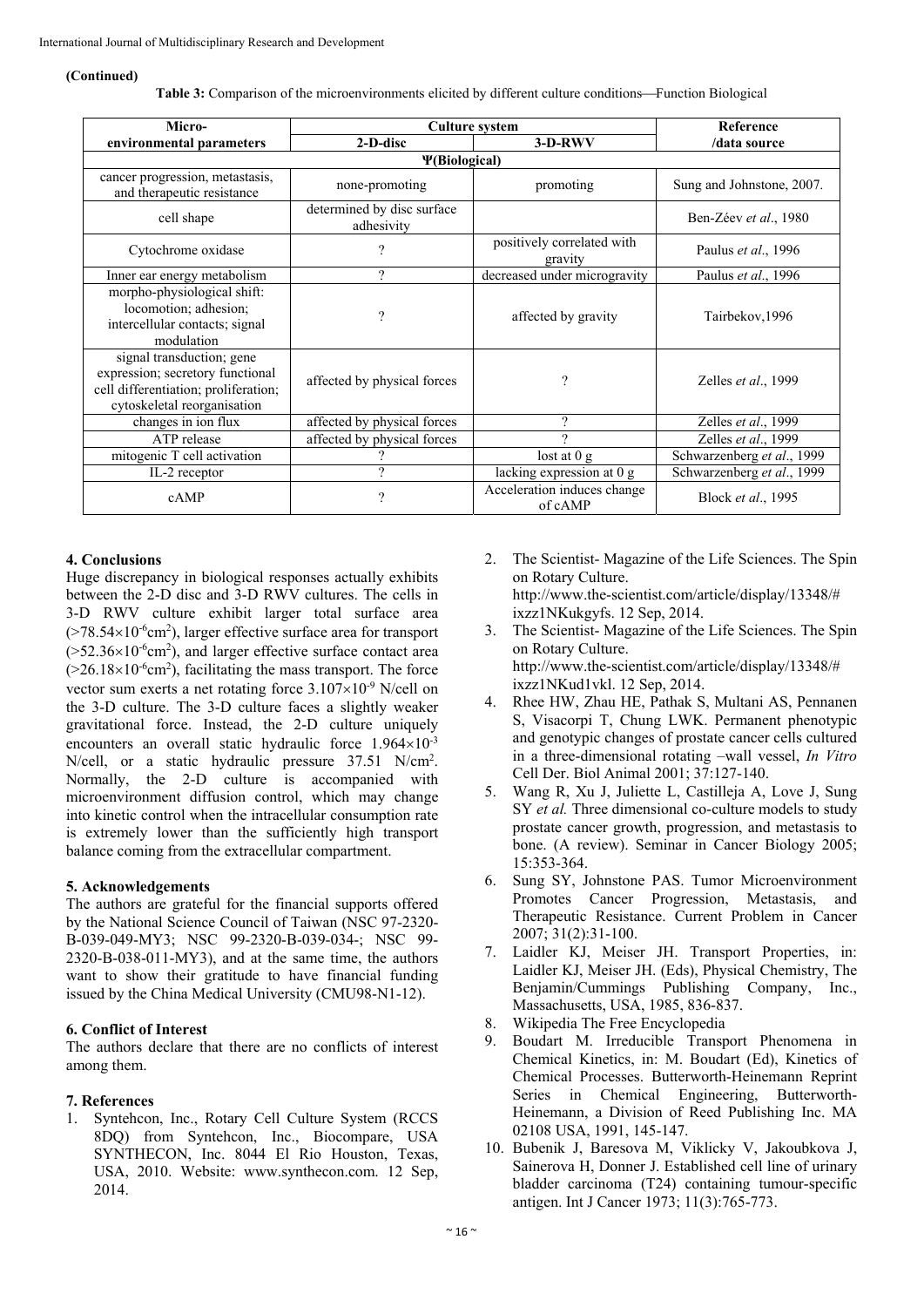#### **(Continued)**

Table 3: Comparison of the microenvironments elicited by different culture conditions—Function Biological

| Micro-                                                                                                                               | <b>Culture system</b>                    | Reference                              |                            |  |  |  |
|--------------------------------------------------------------------------------------------------------------------------------------|------------------------------------------|----------------------------------------|----------------------------|--|--|--|
| environmental parameters                                                                                                             | 2-D-disc                                 | $3-D-RWV$                              | /data source               |  |  |  |
| <b><i>V(Biological)</i></b>                                                                                                          |                                          |                                        |                            |  |  |  |
| cancer progression, metastasis,<br>and therapeutic resistance                                                                        | none-promoting                           | promoting                              | Sung and Johnstone, 2007.  |  |  |  |
| cell shape                                                                                                                           | determined by disc surface<br>adhesivity |                                        | Ben-Zéev et al., 1980      |  |  |  |
| Cytochrome oxidase                                                                                                                   | ?                                        | positively correlated with<br>gravity  | Paulus et al., 1996        |  |  |  |
| Inner ear energy metabolism                                                                                                          | $\gamma$                                 | decreased under microgravity           | Paulus et al., 1996        |  |  |  |
| morpho-physiological shift:<br>locomotion; adhesion;<br>intercellular contacts; signal<br>modulation                                 | $\gamma$                                 | affected by gravity                    | Tairbekov, 1996            |  |  |  |
| signal transduction; gene<br>expression; secretory functional<br>cell differentiation; proliferation;<br>cytoskeletal reorganisation | affected by physical forces              | ?                                      | Zelles et al., 1999        |  |  |  |
| changes in ion flux                                                                                                                  | affected by physical forces              | 9                                      | Zelles et al., 1999        |  |  |  |
| ATP release                                                                                                                          | affected by physical forces              | 9                                      | Zelles et al., 1999        |  |  |  |
| mitogenic T cell activation                                                                                                          |                                          | lost at $0 \text{ g}$                  | Schwarzenberg et al., 1999 |  |  |  |
| IL-2 receptor                                                                                                                        | $\Omega$                                 | lacking expression at 0 g              | Schwarzenberg et al., 1999 |  |  |  |
| cAMP                                                                                                                                 | ?                                        | Acceleration induces change<br>of cAMP | Block et al., 1995         |  |  |  |

# **4. Conclusions**

Huge discrepancy in biological responses actually exhibits between the 2-D disc and 3-D RWV cultures. The cells in 3-D RWV culture exhibit larger total surface area  $($ >78.54×10<sup>-6</sup>cm<sup>2</sup>), larger effective surface area for transport  $(>=52.36\times10^{-6}$ cm<sup>2</sup>), and larger effective surface contact area  $(>=26.18\times10^{-6}$ cm<sup>2</sup>), facilitating the mass transport. The force vector sum exerts a net rotating force  $3.107\times10^{-9}$  N/cell on the 3-D culture. The 3-D culture faces a slightly weaker gravitational force. Instead, the 2-D culture uniquely encounters an overall static hydraulic force  $1.964 \times 10^{-3}$ N/cell, or a static hydraulic pressure 37.51 N/cm<sup>2</sup>. Normally, the 2-D culture is accompanied with microenvironment diffusion control, which may change into kinetic control when the intracellular consumption rate is extremely lower than the sufficiently high transport balance coming from the extracellular compartment.

### **5. Acknowledgements**

The authors are grateful for the financial supports offered by the National Science Council of Taiwan (NSC 97-2320- B-039-049-MY3; NSC 99-2320-B-039-034-; NSC 99- 2320-B-038-011-MY3), and at the same time, the authors want to show their gratitude to have financial funding issued by the China Medical University (CMU98-N1-12).

# **6. Conflict of Interest**

The authors declare that there are no conflicts of interest among them.

# **7. References**

1. Syntehcon, Inc., Rotary Cell Culture System (RCCS 8DQ) from Syntehcon, Inc., Biocompare, USA SYNTHECON, Inc. 8044 El Rio Houston, Texas, USA, 2010. Website: www.synthecon.com. 12 Sep, 2014.

- 2. The Scientist- Magazine of the Life Sciences. The Spin on Rotary Culture. http://www.the-scientist.com/article/display/13348/#
	- ixzz1NKukgyfs. 12 Sep, 2014.
- 3. The Scientist- Magazine of the Life Sciences. The Spin on Rotary Culture. http://www.the-scientist.com/article/display/13348/# ixzz1NKud1vkl. 12 Sep, 2014.
- 4. Rhee HW, Zhau HE, Pathak S, Multani AS, Pennanen S, Visacorpi T, Chung LWK. Permanent phenotypic and genotypic changes of prostate cancer cells cultured in a three-dimensional rotating –wall vessel, *In Vitro* Cell Der. Biol Animal 2001; 37:127-140.
- 5. Wang R, Xu J, Juliette L, Castilleja A, Love J, Sung SY *et al.* Three dimensional co-culture models to study prostate cancer growth, progression, and metastasis to bone. (A review). Seminar in Cancer Biology 2005; 15:353-364.
- 6. Sung SY, Johnstone PAS. Tumor Microenvironment Promotes Cancer Progression, Metastasis, and Therapeutic Resistance. Current Problem in Cancer 2007; 31(2):31-100.
- 7. Laidler KJ, Meiser JH. Transport Properties, in: Laidler KJ, Meiser JH. (Eds), Physical Chemistry, The Benjamin/Cummings Publishing Company, Inc., Massachusetts, USA, 1985, 836-837.
- 8. Wikipedia The Free Encyclopedia
- 9. Boudart M. Irreducible Transport Phenomena in Chemical Kinetics, in: M. Boudart (Ed), Kinetics of Chemical Processes. Butterworth-Heinemann Reprint Series in Chemical Engineering, Butterworth-Heinemann, a Division of Reed Publishing Inc. MA 02108 USA, 1991, 145-147.
- 10. Bubenik J, Baresova M, Viklicky V, Jakoubkova J, Sainerova H, Donner J. Established cell line of urinary bladder carcinoma (T24) containing tumour-specific antigen. Int J Cancer 1973; 11(3):765-773.